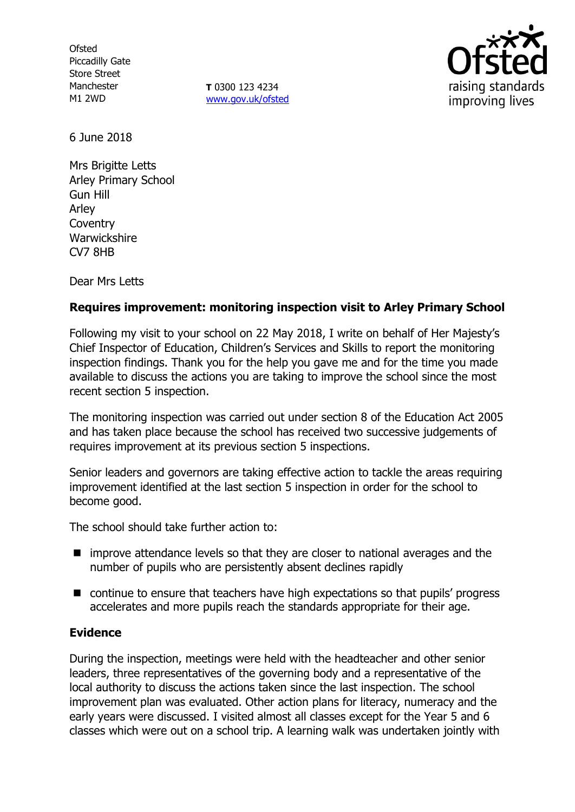**Ofsted** Piccadilly Gate Store Street Manchester M1 2WD

**T** 0300 123 4234 [www.gov.uk/ofsted](http://www.gov.uk/ofsted)



6 June 2018

Mrs Brigitte Letts Arley Primary School Gun Hill Arley **Coventry Warwickshire** CV7 8HB

Dear Mrs Letts

## **Requires improvement: monitoring inspection visit to Arley Primary School**

Following my visit to your school on 22 May 2018, I write on behalf of Her Majesty's Chief Inspector of Education, Children's Services and Skills to report the monitoring inspection findings. Thank you for the help you gave me and for the time you made available to discuss the actions you are taking to improve the school since the most recent section 5 inspection.

The monitoring inspection was carried out under section 8 of the Education Act 2005 and has taken place because the school has received two successive judgements of requires improvement at its previous section 5 inspections.

Senior leaders and governors are taking effective action to tackle the areas requiring improvement identified at the last section 5 inspection in order for the school to become good.

The school should take further action to:

- $\blacksquare$  improve attendance levels so that they are closer to national averages and the number of pupils who are persistently absent declines rapidly
- continue to ensure that teachers have high expectations so that pupils' progress accelerates and more pupils reach the standards appropriate for their age.

### **Evidence**

During the inspection, meetings were held with the headteacher and other senior leaders, three representatives of the governing body and a representative of the local authority to discuss the actions taken since the last inspection. The school improvement plan was evaluated. Other action plans for literacy, numeracy and the early years were discussed. I visited almost all classes except for the Year 5 and 6 classes which were out on a school trip. A learning walk was undertaken jointly with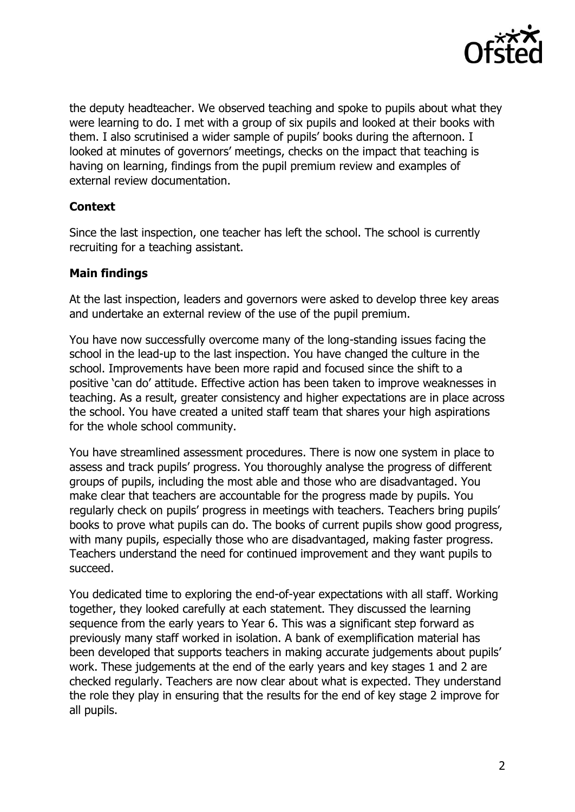

the deputy headteacher. We observed teaching and spoke to pupils about what they were learning to do. I met with a group of six pupils and looked at their books with them. I also scrutinised a wider sample of pupils' books during the afternoon. I looked at minutes of governors' meetings, checks on the impact that teaching is having on learning, findings from the pupil premium review and examples of external review documentation.

### **Context**

Since the last inspection, one teacher has left the school. The school is currently recruiting for a teaching assistant.

### **Main findings**

At the last inspection, leaders and governors were asked to develop three key areas and undertake an external review of the use of the pupil premium.

You have now successfully overcome many of the long-standing issues facing the school in the lead-up to the last inspection. You have changed the culture in the school. Improvements have been more rapid and focused since the shift to a positive 'can do' attitude. Effective action has been taken to improve weaknesses in teaching. As a result, greater consistency and higher expectations are in place across the school. You have created a united staff team that shares your high aspirations for the whole school community.

You have streamlined assessment procedures. There is now one system in place to assess and track pupils' progress. You thoroughly analyse the progress of different groups of pupils, including the most able and those who are disadvantaged. You make clear that teachers are accountable for the progress made by pupils. You regularly check on pupils' progress in meetings with teachers. Teachers bring pupils' books to prove what pupils can do. The books of current pupils show good progress, with many pupils, especially those who are disadvantaged, making faster progress. Teachers understand the need for continued improvement and they want pupils to succeed.

You dedicated time to exploring the end-of-year expectations with all staff. Working together, they looked carefully at each statement. They discussed the learning sequence from the early years to Year 6. This was a significant step forward as previously many staff worked in isolation. A bank of exemplification material has been developed that supports teachers in making accurate judgements about pupils' work. These judgements at the end of the early years and key stages 1 and 2 are checked regularly. Teachers are now clear about what is expected. They understand the role they play in ensuring that the results for the end of key stage 2 improve for all pupils.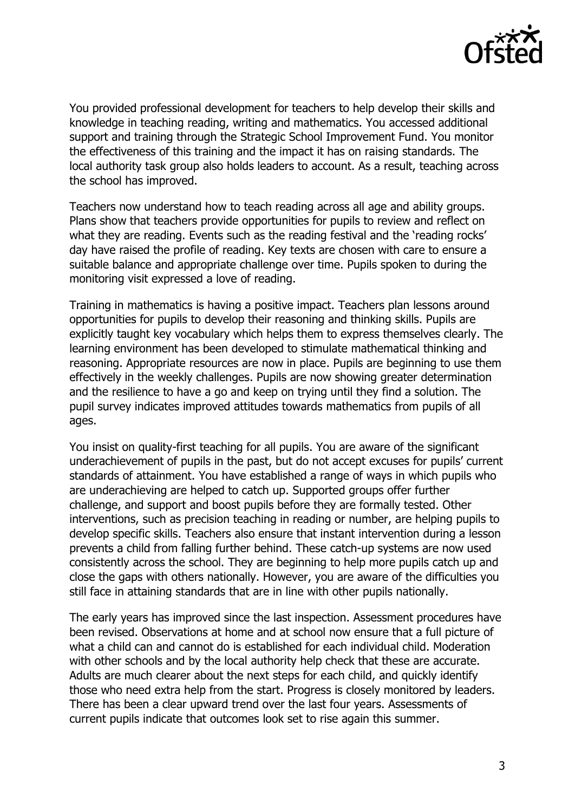

You provided professional development for teachers to help develop their skills and knowledge in teaching reading, writing and mathematics. You accessed additional support and training through the Strategic School Improvement Fund. You monitor the effectiveness of this training and the impact it has on raising standards. The local authority task group also holds leaders to account. As a result, teaching across the school has improved.

Teachers now understand how to teach reading across all age and ability groups. Plans show that teachers provide opportunities for pupils to review and reflect on what they are reading. Events such as the reading festival and the 'reading rocks' day have raised the profile of reading. Key texts are chosen with care to ensure a suitable balance and appropriate challenge over time. Pupils spoken to during the monitoring visit expressed a love of reading.

Training in mathematics is having a positive impact. Teachers plan lessons around opportunities for pupils to develop their reasoning and thinking skills. Pupils are explicitly taught key vocabulary which helps them to express themselves clearly. The learning environment has been developed to stimulate mathematical thinking and reasoning. Appropriate resources are now in place. Pupils are beginning to use them effectively in the weekly challenges. Pupils are now showing greater determination and the resilience to have a go and keep on trying until they find a solution. The pupil survey indicates improved attitudes towards mathematics from pupils of all ages.

You insist on quality-first teaching for all pupils. You are aware of the significant underachievement of pupils in the past, but do not accept excuses for pupils' current standards of attainment. You have established a range of ways in which pupils who are underachieving are helped to catch up. Supported groups offer further challenge, and support and boost pupils before they are formally tested. Other interventions, such as precision teaching in reading or number, are helping pupils to develop specific skills. Teachers also ensure that instant intervention during a lesson prevents a child from falling further behind. These catch-up systems are now used consistently across the school. They are beginning to help more pupils catch up and close the gaps with others nationally. However, you are aware of the difficulties you still face in attaining standards that are in line with other pupils nationally.

The early years has improved since the last inspection. Assessment procedures have been revised. Observations at home and at school now ensure that a full picture of what a child can and cannot do is established for each individual child. Moderation with other schools and by the local authority help check that these are accurate. Adults are much clearer about the next steps for each child, and quickly identify those who need extra help from the start. Progress is closely monitored by leaders. There has been a clear upward trend over the last four years. Assessments of current pupils indicate that outcomes look set to rise again this summer.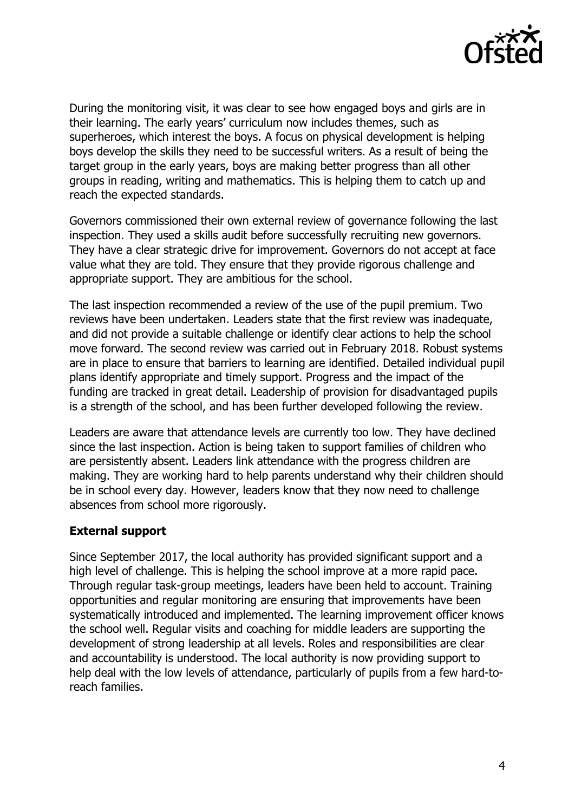

During the monitoring visit, it was clear to see how engaged boys and girls are in their learning. The early years' curriculum now includes themes, such as superheroes, which interest the boys. A focus on physical development is helping boys develop the skills they need to be successful writers. As a result of being the target group in the early years, boys are making better progress than all other groups in reading, writing and mathematics. This is helping them to catch up and reach the expected standards.

Governors commissioned their own external review of governance following the last inspection. They used a skills audit before successfully recruiting new governors. They have a clear strategic drive for improvement. Governors do not accept at face value what they are told. They ensure that they provide rigorous challenge and appropriate support. They are ambitious for the school.

The last inspection recommended a review of the use of the pupil premium. Two reviews have been undertaken. Leaders state that the first review was inadequate, and did not provide a suitable challenge or identify clear actions to help the school move forward. The second review was carried out in February 2018. Robust systems are in place to ensure that barriers to learning are identified. Detailed individual pupil plans identify appropriate and timely support. Progress and the impact of the funding are tracked in great detail. Leadership of provision for disadvantaged pupils is a strength of the school, and has been further developed following the review.

Leaders are aware that attendance levels are currently too low. They have declined since the last inspection. Action is being taken to support families of children who are persistently absent. Leaders link attendance with the progress children are making. They are working hard to help parents understand why their children should be in school every day. However, leaders know that they now need to challenge absences from school more rigorously.

### **External support**

Since September 2017, the local authority has provided significant support and a high level of challenge. This is helping the school improve at a more rapid pace. Through regular task-group meetings, leaders have been held to account. Training opportunities and regular monitoring are ensuring that improvements have been systematically introduced and implemented. The learning improvement officer knows the school well. Regular visits and coaching for middle leaders are supporting the development of strong leadership at all levels. Roles and responsibilities are clear and accountability is understood. The local authority is now providing support to help deal with the low levels of attendance, particularly of pupils from a few hard-toreach families.